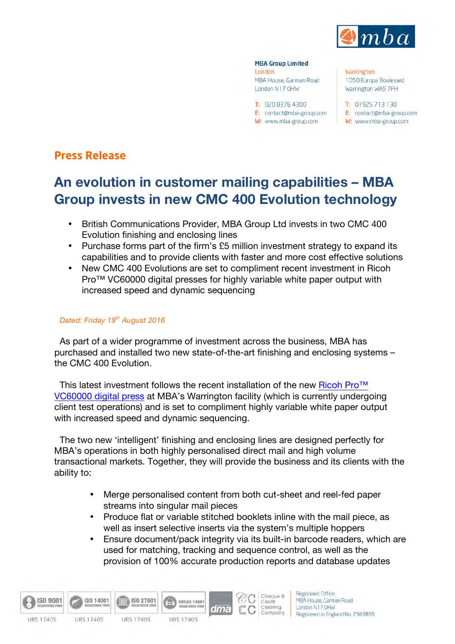

#### **MBA Group Limited** London MBA House, Garman Road

London N17 OHW

T: 02083764300 E: contact@mba-group.com W: www.mba-group.com

**Warrington** 1050 Europa Boulevard Warrington WA5 7FH

 $T: 01925713130$ E: contact@mba-group.com W: www.mba-group.com

# **Press Release**

# **An evolution in customer mailing capabilities – MBA Group invests in new CMC 400 Evolution technology**

- British Communications Provider, MBA Group Ltd invests in two CMC 400 Evolution finishing and enclosing lines
- Purchase forms part of the firm's £5 million investment strategy to expand its capabilities and to provide clients with faster and more cost effective solutions
- New CMC 400 Evolutions are set to compliment recent investment in Ricoh Pro™ VC60000 digital presses for highly variable white paper output with increased speed and dynamic sequencing

## *Dated: Friday 19th August 2016*

As part of a wider programme of investment across the business, MBA has purchased and installed two new state-of-the-art finishing and enclosing systems – the CMC 400 Evolution.

This latest investment follows the recent installation of the new Ricoh Pro<sup>™</sup> [VC60000 digital press](http://www.mba-group.com/media-centre/mba-news/mba-partners-with-ricoh-in-a-new-landmark-multi-million-pound-investment-74) at MBA's Warrington facility (which is currently undergoing client test operations) and is set to compliment highly variable white paper output with increased speed and dynamic sequencing.

The two new 'intelligent' finishing and enclosing lines are designed perfectly for MBA's operations in both highly personalised direct mail and high volume transactional markets. Together, they will provide the business and its clients with the ability to:

- Merge personalised content from both cut-sheet and reel-fed paper streams into singular mail pieces
- Produce flat or variable stitched booklets inline with the mail piece, as well as insert selective inserts via the system's multiple hoppers
- Ensure document/pack integrity via its built-in barcode readers, which are used for matching, tracking and sequence control, as well as the provision of 100% accurate production reports and database updates

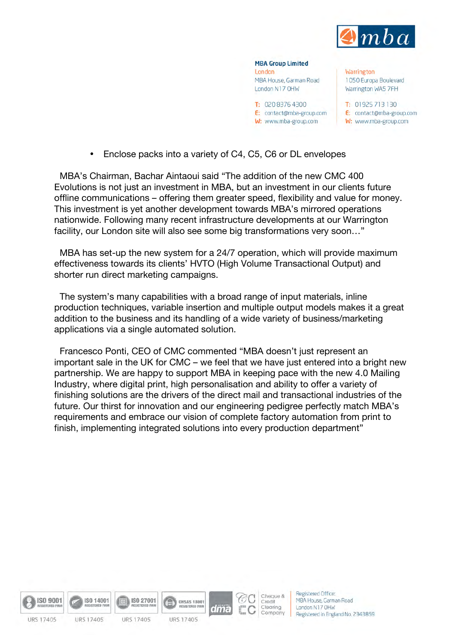

**MBA Group Limited** London MBA House, Garman Road London N17 OHW T: 020.8376.4300

E: contact@mba-group.com W: www.mba-group.com

**Warrington** 1050 Europa Boulevard Warrington WA5 7FH

T: 01925 713 130 E: contact@mba-group.com W: www.mba-group.com

• Enclose packs into a variety of C4, C5, C6 or DL envelopes

MBA's Chairman, Bachar Aintaoui said "The addition of the new CMC 400 Evolutions is not just an investment in MBA, but an investment in our clients future offline communications – offering them greater speed, flexibility and value for money. This investment is yet another development towards MBA's mirrored operations nationwide. Following many recent infrastructure developments at our Warrington facility, our London site will also see some big transformations very soon…"

MBA has set-up the new system for a 24/7 operation, which will provide maximum effectiveness towards its clients' HVTO (High Volume Transactional Output) and shorter run direct marketing campaigns.

The system's many capabilities with a broad range of input materials, inline production techniques, variable insertion and multiple output models makes it a great addition to the business and its handling of a wide variety of business/marketing applications via a single automated solution.

Francesco Ponti, CEO of CMC commented "MBA doesn't just represent an important sale in the UK for CMC – we feel that we have just entered into a bright new partnership. We are happy to support MBA in keeping pace with the new 4.0 Mailing Industry, where digital print, high personalisation and ability to offer a variety of finishing solutions are the drivers of the direct mail and transactional industries of the future. Our thirst for innovation and our engineering pedigree perfectly match MBA's requirements and embrace our vision of complete factory automation from print to finish, implementing integrated solutions into every production department"





Cheque &

Clearing

Company

Credit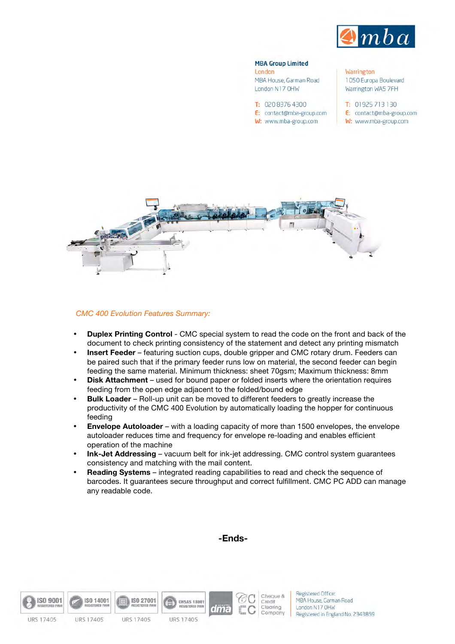

## **MBA Group Limited**

London MBA House, Garman Road London N17 OHW

 $T: 02083764300$ E: contact@mba-group.com W: www.mba-group.com

**Warrington** 1050 Europa Boulevard Warrington WA5 7FH

- $T: 01925713130$ E: contact@mba-group.com
- W: www.mba-group.com



*CMC 400 Evolution Features Summary:*

- **Duplex Printing Control** CMC special system to read the code on the front and back of the document to check printing consistency of the statement and detect any printing mismatch
- **Insert Feeder** featuring suction cups, double gripper and CMC rotary drum. Feeders can be paired such that if the primary feeder runs low on material, the second feeder can begin feeding the same material. Minimum thickness: sheet 70gsm; Maximum thickness: 8mm
- **Disk Attachment** used for bound paper or folded inserts where the orientation requires feeding from the open edge adjacent to the folded/bound edge
- **Bulk Loader** Roll-up unit can be moved to different feeders to greatly increase the productivity of the CMC 400 Evolution by automatically loading the hopper for continuous feeding
- **Envelope Autoloader** with a loading capacity of more than 1500 envelopes, the envelope autoloader reduces time and frequency for envelope re-loading and enables efficient operation of the machine
- **Ink-Jet Addressing** vacuum belt for ink-jet addressing. CMC control system guarantees consistency and matching with the mail content.

**-Ends-**

• **Reading Systems** – integrated reading capabilities to read and check the sequence of barcodes. It guarantees secure throughput and correct fulfillment. CMC PC ADD can manage any readable code.

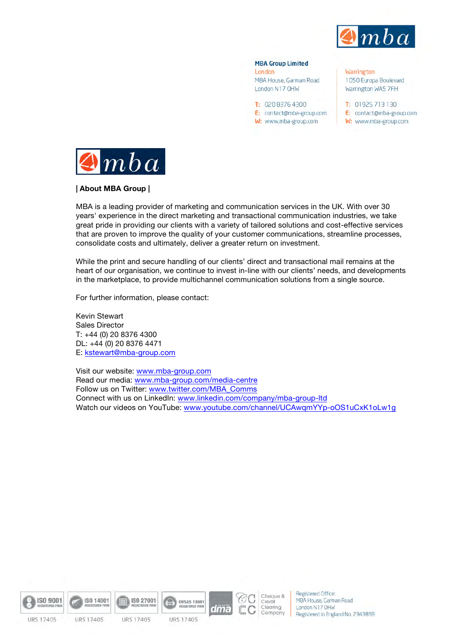

#### **MBA Group Limited**

London MBA House, Garman Road London N17 OHW

T: 02083764300 E: contact@mba-group.com W: www.mba-group.com

Warrington 1050 Europa Boulevard Warrington WA5 7FH

T: 01925 713 130 E: contact@mba-group.com W: www.mba-group.com



**| About MBA Group |**

MBA is a leading provider of marketing and communication services in the UK. With over 30 years' experience in the direct marketing and transactional communication industries, we take great pride in providing our clients with a variety of tailored solutions and cost-effective services that are proven to improve the quality of your customer communications, streamline processes, consolidate costs and ultimately, deliver a greater return on investment.

While the print and secure handling of our clients' direct and transactional mail remains at the heart of our organisation, we continue to invest in-line with our clients' needs, and developments in the marketplace, to provide multichannel communication solutions from a single source.

For further information, please contact:

Kevin Stewart Sales Director T: +44 (0) 20 8376 4300 DL: +44 (0) 20 8376 4471 E: [kstewart@mba-group.com](mailto:kstewart@mba-group.com)

Visit our website: [www.mba-group.com](http://www.mba-group.com) Read our media: [www.mba-group.com/media-centre](http://www.mba-group.com/media-centre) Follow us on Twitter: [www.twitter.com/MBA\\_Comms](http://www.twitter.com/MBA_Comms) Connect with us on LinkedIn: [www.linkedin.com/company/mba-group-ltd](http://www.linkedin.com/company/mba-group-ltd) Watch our videos on YouTube: [www.youtube.com/channel/UCAwqmYYp-oOS1uCxK1oLw1g](http://www.youtube.com/channel/UCAwqmYYp-oOS1uCxK1oLw1g)





ISO 14001



ISO 27001

URS 17405

**OHSAS 18001** 

dma

**REGISTERED FIR** 



Registered Office: MBA House, Garman Road London N17 OHW Registered in England No. 2343859